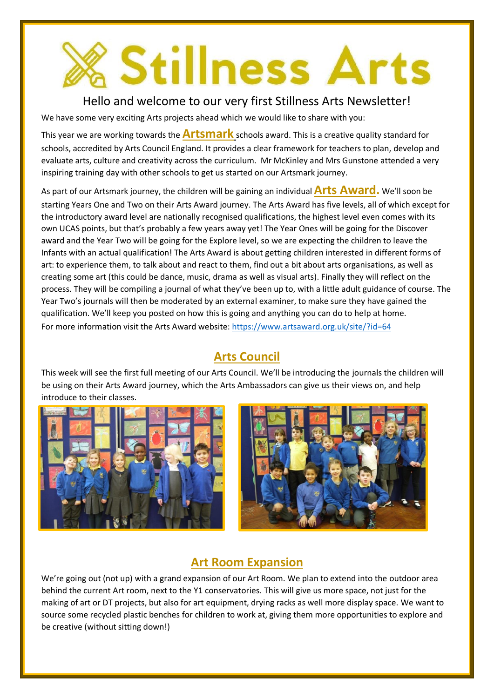# **Stillness Arts**

### Hello and welcome to our very first Stillness Arts Newsletter!

We have some very exciting Arts projects ahead which we would like to share with you:

This year we are working towards the **Artsmark** schools award. This is a creative quality standard for schools, accredited by Arts Council England. It provides a clear framework for teachers to plan, develop and evaluate arts, culture and creativity across the curriculum. Mr McKinley and Mrs Gunstone attended a very inspiring training day with other schools to get us started on our Artsmark journey.

As part of our Artsmark journey, the children will be gaining an individual**Arts Award.** We'll soon be starting Years One and Two on their Arts Award journey. The Arts Award has five levels, all of which except for the introductory award level are nationally recognised qualifications, the highest level even comes with its own UCAS points, but that's probably a few years away yet! The Year Ones will be going for the Discover award and the Year Two will be going for the Explore level, so we are expecting the children to leave the Infants with an actual qualification! The Arts Award is about getting children interested in different forms of art: to experience them, to talk about and react to them, find out a bit about arts organisations, as well as creating some art (this could be dance, music, drama as well as visual arts). Finally they will reflect on the process. They will be compiling a journal of what they've been up to, with a little adult guidance of course. The Year Two's journals will then be moderated by an external examiner, to make sure they have gained the qualification. We'll keep you posted on how this is going and anything you can do to help at home. For more information visit the Arts Award website[: https://www.artsaward.org.uk/site/?id=64](https://www.artsaward.org.uk/site/?id=64)

# **Arts Council**

This week will see the first full meeting of our Arts Council. We'll be introducing the journals the children will be using on their Arts Award journey, which the Arts Ambassadors can give us their views on, and help introduce to their classes.





# **Art Room Expansion**

We're going out (not up) with a grand expansion of our Art Room. We plan to extend into the outdoor area behind the current Art room, next to the Y1 conservatories. This will give us more space, not just for the making of art or DT projects, but also for art equipment, drying racks as well more display space. We want to source some recycled plastic benches for children to work at, giving them more opportunities to explore and be creative (without sitting down!)